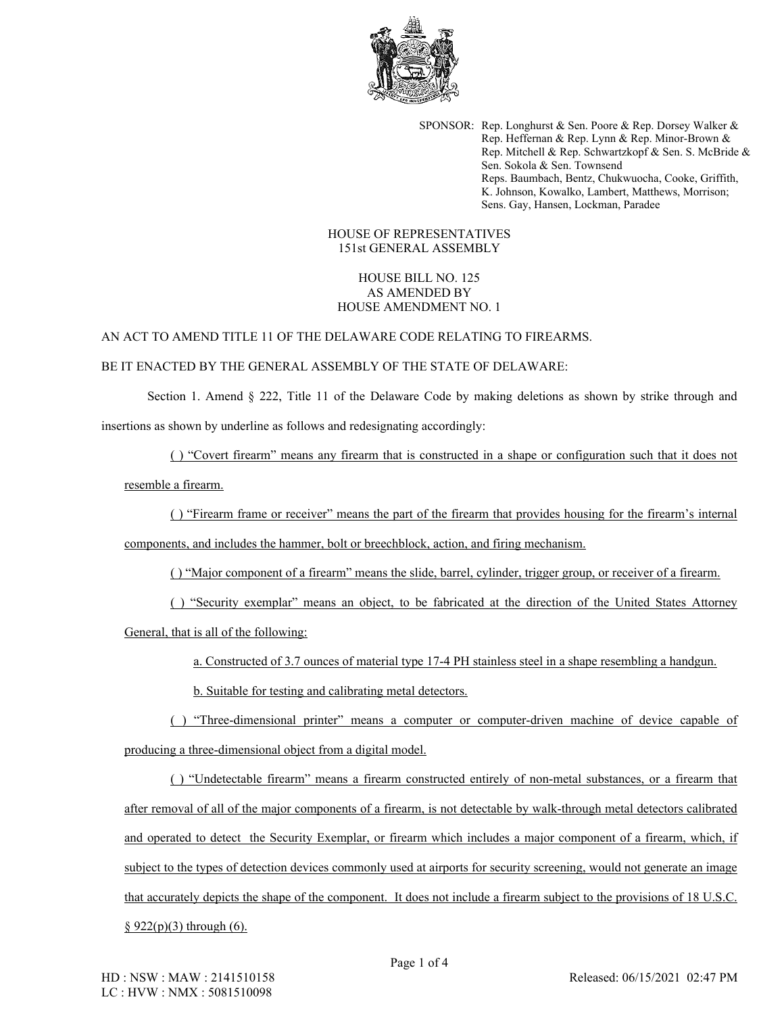

SPONSOR: Rep. Longhurst & Sen. Poore & Rep. Dorsey Walker & Rep. Heffernan & Rep. Lynn & Rep. Minor-Brown & Rep. Mitchell & Rep. Schwartzkopf & Sen. S. McBride & Sen. Sokola & Sen. Townsend Reps. Baumbach, Bentz, Chukwuocha, Cooke, Griffith, K. Johnson, Kowalko, Lambert, Matthews, Morrison; Sens. Gay, Hansen, Lockman, Paradee

## HOUSE OF REPRESENTATIVES 151st GENERAL ASSEMBLY

## HOUSE BILL NO. 125 AS AMENDED BY HOUSE AMENDMENT NO. 1

## AN ACT TO AMEND TITLE 11 OF THE DELAWARE CODE RELATING TO FIREARMS.

## BE IT ENACTED BY THE GENERAL ASSEMBLY OF THE STATE OF DELAWARE:

Section 1. Amend § 222, Title 11 of the Delaware Code by making deletions as shown by strike through and insertions as shown by underline as follows and redesignating accordingly:

( ) "Covert firearm" means any firearm that is constructed in a shape or configuration such that it does not

resemble a firearm.

( ) "Firearm frame or receiver" means the part of the firearm that provides housing for the firearm's internal

components, and includes the hammer, bolt or breechblock, action, and firing mechanism.

( ) "Major component of a firearm" means the slide, barrel, cylinder, trigger group, or receiver of a firearm.

( ) "Security exemplar" means an object, to be fabricated at the direction of the United States Attorney General, that is all of the following:

a. Constructed of 3.7 ounces of material type 17-4 PH stainless steel in a shape resembling a handgun.

b. Suitable for testing and calibrating metal detectors.

( ) "Three-dimensional printer" means a computer or computer-driven machine of device capable of producing a three-dimensional object from a digital model.

( ) "Undetectable firearm" means a firearm constructed entirely of non-metal substances, or a firearm that after removal of all of the major components of a firearm, is not detectable by walk-through metal detectors calibrated and operated to detect the Security Exemplar, or firearm which includes a major component of a firearm, which, if subject to the types of detection devices commonly used at airports for security screening, would not generate an image that accurately depicts the shape of the component. It does not include a firearm subject to the provisions of 18 U.S.C.

 $§ 922(p)(3)$  through (6).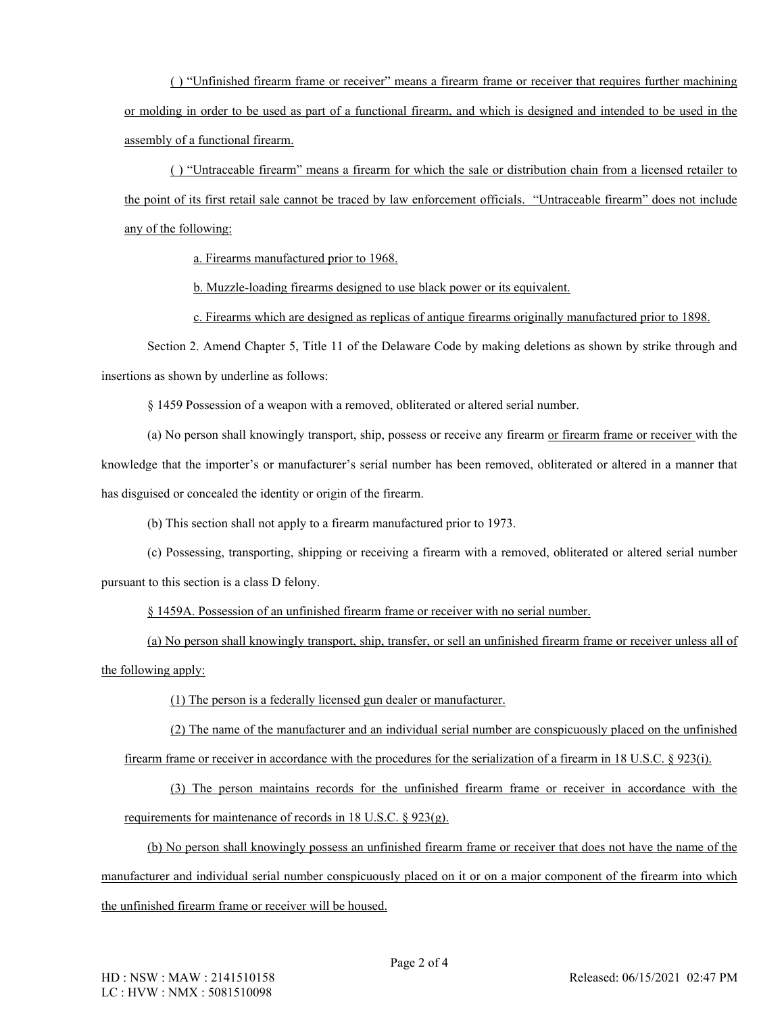( ) "Unfinished firearm frame or receiver" means a firearm frame or receiver that requires further machining or molding in order to be used as part of a functional firearm, and which is designed and intended to be used in the assembly of a functional firearm.

( ) "Untraceable firearm" means a firearm for which the sale or distribution chain from a licensed retailer to the point of its first retail sale cannot be traced by law enforcement officials. "Untraceable firearm" does not include any of the following:

a. Firearms manufactured prior to 1968.

b. Muzzle-loading firearms designed to use black power or its equivalent.

c. Firearms which are designed as replicas of antique firearms originally manufactured prior to 1898.

Section 2. Amend Chapter 5, Title 11 of the Delaware Code by making deletions as shown by strike through and insertions as shown by underline as follows:

§ 1459 Possession of a weapon with a removed, obliterated or altered serial number.

(a) No person shall knowingly transport, ship, possess or receive any firearm or firearm frame or receiver with the knowledge that the importer's or manufacturer's serial number has been removed, obliterated or altered in a manner that has disguised or concealed the identity or origin of the firearm.

(b) This section shall not apply to a firearm manufactured prior to 1973.

(c) Possessing, transporting, shipping or receiving a firearm with a removed, obliterated or altered serial number pursuant to this section is a class D felony.

§ 1459A. Possession of an unfinished firearm frame or receiver with no serial number.

(a) No person shall knowingly transport, ship, transfer, or sell an unfinished firearm frame or receiver unless all of the following apply:

(1) The person is a federally licensed gun dealer or manufacturer.

(2) The name of the manufacturer and an individual serial number are conspicuously placed on the unfinished firearm frame or receiver in accordance with the procedures for the serialization of a firearm in 18 U.S.C. § 923(i).

(3) The person maintains records for the unfinished firearm frame or receiver in accordance with the requirements for maintenance of records in 18 U.S.C. § 923(g).

(b) No person shall knowingly possess an unfinished firearm frame or receiver that does not have the name of the manufacturer and individual serial number conspicuously placed on it or on a major component of the firearm into which the unfinished firearm frame or receiver will be housed.